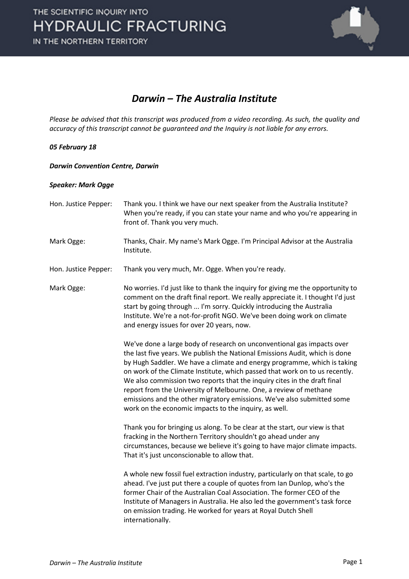

### *Darwin – The Australia Institute*

*Please be advised that this transcript was produced from a video recording. As such, the quality and accuracy of this transcript cannot be guaranteed and the Inquiry is not liable for any errors.*

### *05 February 18*

### *Darwin Convention Centre, Darwin*

### *Speaker: Mark Ogge*

Hon. Justice Pepper: Thank you. I think we have our next speaker from the Australia Institute? When you're ready, if you can state your name and who you're appearing in front of. Thank you very much.

Mark Ogge: Thanks, Chair. My name's Mark Ogge. I'm Principal Advisor at the Australia Institute.

Hon. Justice Pepper: Thank you very much, Mr. Ogge. When you're ready.

Mark Ogge: No worries. I'd just like to thank the inquiry for giving me the opportunity to comment on the draft final report. We really appreciate it. I thought I'd just start by going through ... I'm sorry. Quickly introducing the Australia Institute. We're a not-for-profit NGO. We've been doing work on climate and energy issues for over 20 years, now.

> We've done a large body of research on unconventional gas impacts over the last five years. We publish the National Emissions Audit, which is done by Hugh Saddler. We have a climate and energy programme, which is taking on work of the Climate Institute, which passed that work on to us recently. We also commission two reports that the inquiry cites in the draft final report from the University of Melbourne. One, a review of methane emissions and the other migratory emissions. We've also submitted some work on the economic impacts to the inquiry, as well.

> Thank you for bringing us along. To be clear at the start, our view is that fracking in the Northern Territory shouldn't go ahead under any circumstances, because we believe it's going to have major climate impacts. That it's just unconscionable to allow that.

A whole new fossil fuel extraction industry, particularly on that scale, to go ahead. I've just put there a couple of quotes from Ian Dunlop, who's the former Chair of the Australian Coal Association. The former CEO of the Institute of Managers in Australia. He also led the government's task force on emission trading. He worked for years at Royal Dutch Shell internationally.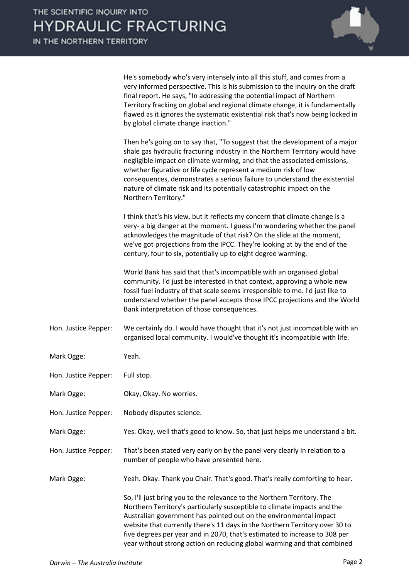

He's somebody who's very intensely into all this stuff, and comes from a very informed perspective. This is his submission to the inquiry on the draft final report. He says, "In addressing the potential impact of Northern Territory fracking on global and regional climate change, it is fundamentally flawed as it ignores the systematic existential risk that's now being locked in by global climate change inaction."

Then he's going on to say that, "To suggest that the development of a major shale gas hydraulic fracturing industry in the Northern Territory would have negligible impact on climate warming, and that the associated emissions, whether figurative or life cycle represent a medium risk of low consequences, demonstrates a serious failure to understand the existential nature of climate risk and its potentially catastrophic impact on the Northern Territory."

I think that's his view, but it reflects my concern that climate change is a very- a big danger at the moment. I guess I'm wondering whether the panel acknowledges the magnitude of that risk? On the slide at the moment, we've got projections from the IPCC. They're looking at by the end of the century, four to six, potentially up to eight degree warming.

World Bank has said that that's incompatible with an organised global community. I'd just be interested in that context, approving a whole new fossil fuel industry of that scale seems irresponsible to me. I'd just like to understand whether the panel accepts those IPCC projections and the World Bank interpretation of those consequences.

Hon. Justice Pepper: We certainly do. I would have thought that it's not just incompatible with an organised local community. I would've thought it's incompatible with life.

Mark Ogge: Yeah.

Hon. Justice Pepper: Full stop.

- Mark Ogge: Okay, Okay. No worries.
- Hon. Justice Pepper: Nobody disputes science.

Mark Ogge: Yes. Okay, well that's good to know. So, that just helps me understand a bit.

Hon. Justice Pepper: That's been stated very early on by the panel very clearly in relation to a number of people who have presented here.

Mark Ogge: Yeah. Okay. Thank you Chair. That's good. That's really comforting to hear.

So, I'll just bring you to the relevance to the Northern Territory. The Northern Territory's particularly susceptible to climate impacts and the Australian government has pointed out on the environmental impact website that currently there's 11 days in the Northern Territory over 30 to five degrees per year and in 2070, that's estimated to increase to 308 per year without strong action on reducing global warming and that combined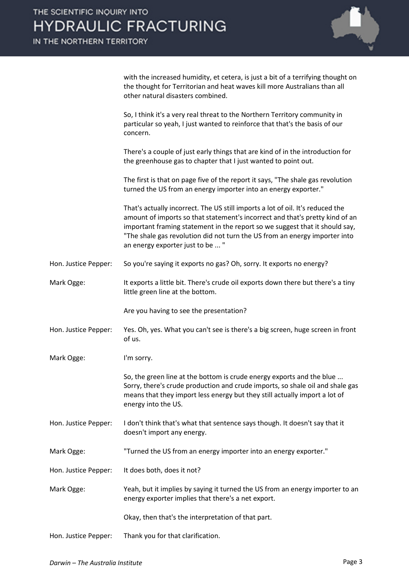

|                      | with the increased humidity, et cetera, is just a bit of a terrifying thought on<br>the thought for Territorian and heat waves kill more Australians than all<br>other natural disasters combined.                                                                                                                                                              |
|----------------------|-----------------------------------------------------------------------------------------------------------------------------------------------------------------------------------------------------------------------------------------------------------------------------------------------------------------------------------------------------------------|
|                      | So, I think it's a very real threat to the Northern Territory community in<br>particular so yeah, I just wanted to reinforce that that's the basis of our<br>concern.                                                                                                                                                                                           |
|                      | There's a couple of just early things that are kind of in the introduction for<br>the greenhouse gas to chapter that I just wanted to point out.                                                                                                                                                                                                                |
|                      | The first is that on page five of the report it says, "The shale gas revolution<br>turned the US from an energy importer into an energy exporter."                                                                                                                                                                                                              |
|                      | That's actually incorrect. The US still imports a lot of oil. It's reduced the<br>amount of imports so that statement's incorrect and that's pretty kind of an<br>important framing statement in the report so we suggest that it should say,<br>"The shale gas revolution did not turn the US from an energy importer into<br>an energy exporter just to be  " |
| Hon. Justice Pepper: | So you're saying it exports no gas? Oh, sorry. It exports no energy?                                                                                                                                                                                                                                                                                            |
| Mark Ogge:           | It exports a little bit. There's crude oil exports down there but there's a tiny<br>little green line at the bottom.                                                                                                                                                                                                                                            |
|                      | Are you having to see the presentation?                                                                                                                                                                                                                                                                                                                         |
| Hon. Justice Pepper: | Yes. Oh, yes. What you can't see is there's a big screen, huge screen in front<br>of us.                                                                                                                                                                                                                                                                        |
| Mark Ogge:           | I'm sorry.                                                                                                                                                                                                                                                                                                                                                      |
|                      | So, the green line at the bottom is crude energy exports and the blue.<br>Sorry, there's crude production and crude imports, so shale oil and shale gas<br>means that they import less energy but they still actually import a lot of<br>energy into the US.                                                                                                    |
| Hon. Justice Pepper: | I don't think that's what that sentence says though. It doesn't say that it<br>doesn't import any energy.                                                                                                                                                                                                                                                       |
| Mark Ogge:           | "Turned the US from an energy importer into an energy exporter."                                                                                                                                                                                                                                                                                                |
| Hon. Justice Pepper: | It does both, does it not?                                                                                                                                                                                                                                                                                                                                      |
| Mark Ogge:           | Yeah, but it implies by saying it turned the US from an energy importer to an<br>energy exporter implies that there's a net export.                                                                                                                                                                                                                             |
|                      | Okay, then that's the interpretation of that part.                                                                                                                                                                                                                                                                                                              |
| Hon. Justice Pepper: | Thank you for that clarification.                                                                                                                                                                                                                                                                                                                               |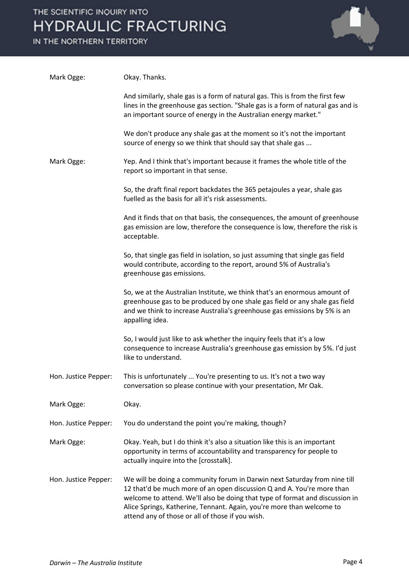

| Mark Ogge:           | Okay. Thanks.                                                                                                                                                                                                                                                                                                                                                    |
|----------------------|------------------------------------------------------------------------------------------------------------------------------------------------------------------------------------------------------------------------------------------------------------------------------------------------------------------------------------------------------------------|
|                      | And similarly, shale gas is a form of natural gas. This is from the first few<br>lines in the greenhouse gas section. "Shale gas is a form of natural gas and is<br>an important source of energy in the Australian energy market."                                                                                                                              |
|                      | We don't produce any shale gas at the moment so it's not the important<br>source of energy so we think that should say that shale gas                                                                                                                                                                                                                            |
| Mark Ogge:           | Yep. And I think that's important because it frames the whole title of the<br>report so important in that sense.                                                                                                                                                                                                                                                 |
|                      | So, the draft final report backdates the 365 petajoules a year, shale gas<br>fuelled as the basis for all it's risk assessments.                                                                                                                                                                                                                                 |
|                      | And it finds that on that basis, the consequences, the amount of greenhouse<br>gas emission are low, therefore the consequence is low, therefore the risk is<br>acceptable.                                                                                                                                                                                      |
|                      | So, that single gas field in isolation, so just assuming that single gas field<br>would contribute, according to the report, around 5% of Australia's<br>greenhouse gas emissions.                                                                                                                                                                               |
|                      | So, we at the Australian Institute, we think that's an enormous amount of<br>greenhouse gas to be produced by one shale gas field or any shale gas field<br>and we think to increase Australia's greenhouse gas emissions by 5% is an<br>appalling idea.                                                                                                         |
|                      | So, I would just like to ask whether the inquiry feels that it's a low<br>consequence to increase Australia's greenhouse gas emission by 5%. I'd just<br>like to understand.                                                                                                                                                                                     |
| Hon. Justice Pepper: | This is unfortunately  You're presenting to us. It's not a two way<br>conversation so please continue with your presentation, Mr Oak.                                                                                                                                                                                                                            |
| Mark Ogge:           | Okay.                                                                                                                                                                                                                                                                                                                                                            |
| Hon. Justice Pepper: | You do understand the point you're making, though?                                                                                                                                                                                                                                                                                                               |
| Mark Ogge:           | Okay. Yeah, but I do think it's also a situation like this is an important<br>opportunity in terms of accountability and transparency for people to<br>actually inquire into the [crosstalk].                                                                                                                                                                    |
| Hon. Justice Pepper: | We will be doing a community forum in Darwin next Saturday from nine till<br>12 that'd be much more of an open discussion Q and A. You're more than<br>welcome to attend. We'll also be doing that type of format and discussion in<br>Alice Springs, Katherine, Tennant. Again, you're more than welcome to<br>attend any of those or all of those if you wish. |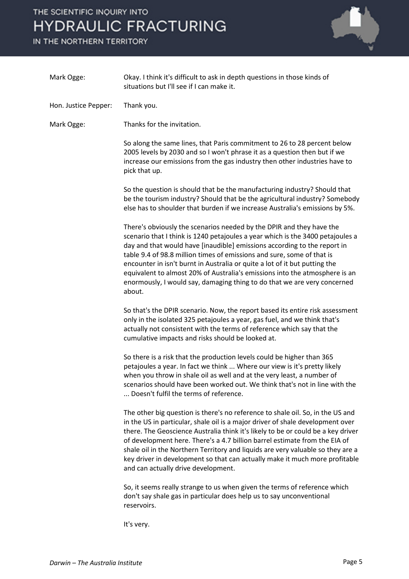IN THE NORTHERN TERRITORY



| Mark Ogge:           | Okay. I think it's difficult to ask in depth questions in those kinds of<br>situations but I'll see if I can make it.                                                                                                                                                                                                                                                                                                                                                                                                                                           |
|----------------------|-----------------------------------------------------------------------------------------------------------------------------------------------------------------------------------------------------------------------------------------------------------------------------------------------------------------------------------------------------------------------------------------------------------------------------------------------------------------------------------------------------------------------------------------------------------------|
| Hon. Justice Pepper: | Thank you.                                                                                                                                                                                                                                                                                                                                                                                                                                                                                                                                                      |
| Mark Ogge:           | Thanks for the invitation.                                                                                                                                                                                                                                                                                                                                                                                                                                                                                                                                      |
|                      | So along the same lines, that Paris commitment to 26 to 28 percent below<br>2005 levels by 2030 and so I won't phrase it as a question then but if we<br>increase our emissions from the gas industry then other industries have to<br>pick that up.                                                                                                                                                                                                                                                                                                            |
|                      | So the question is should that be the manufacturing industry? Should that<br>be the tourism industry? Should that be the agricultural industry? Somebody<br>else has to shoulder that burden if we increase Australia's emissions by 5%.                                                                                                                                                                                                                                                                                                                        |
|                      | There's obviously the scenarios needed by the DPIR and they have the<br>scenario that I think is 1240 petajoules a year which is the 3400 petajoules a<br>day and that would have [inaudible] emissions according to the report in<br>table 9.4 of 98.8 million times of emissions and sure, some of that is<br>encounter in isn't burnt in Australia or quite a lot of it but putting the<br>equivalent to almost 20% of Australia's emissions into the atmosphere is an<br>enormously, I would say, damaging thing to do that we are very concerned<br>about. |
|                      | So that's the DPIR scenario. Now, the report based its entire risk assessment<br>only in the isolated 325 petajoules a year, gas fuel, and we think that's<br>actually not consistent with the terms of reference which say that the<br>cumulative impacts and risks should be looked at.                                                                                                                                                                                                                                                                       |
|                      | So there is a risk that the production levels could be higher than 365<br>petajoules a year. In fact we think  Where our view is it's pretty likely<br>when you throw in shale oil as well and at the very least, a number of<br>scenarios should have been worked out. We think that's not in line with the<br>Doesn't fulfil the terms of reference.                                                                                                                                                                                                          |
|                      | The other big question is there's no reference to shale oil. So, in the US and<br>in the US in particular, shale oil is a major driver of shale development over<br>there. The Geoscience Australia think it's likely to be or could be a key driver<br>of development here. There's a 4.7 billion barrel estimate from the EIA of<br>shale oil in the Northern Territory and liquids are very valuable so they are a<br>key driver in development so that can actually make it much more profitable<br>and can actually drive development.                     |
|                      | So, it seems really strange to us when given the terms of reference which<br>don't say shale gas in particular does help us to say unconventional<br>reservoirs.                                                                                                                                                                                                                                                                                                                                                                                                |

It's very.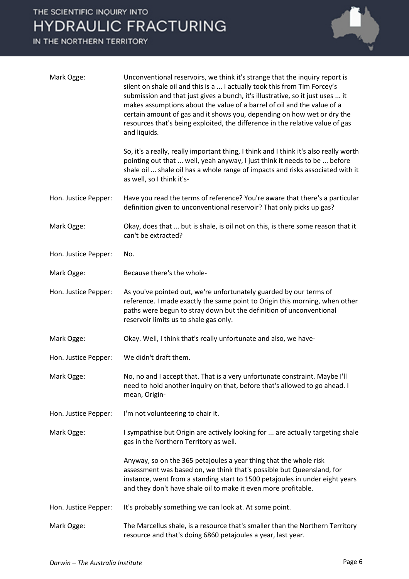

| Mark Ogge:           | Unconventional reservoirs, we think it's strange that the inquiry report is<br>silent on shale oil and this is a  I actually took this from Tim Forcey's<br>submission and that just gives a bunch, it's illustrative, so it just uses  it<br>makes assumptions about the value of a barrel of oil and the value of a<br>certain amount of gas and it shows you, depending on how wet or dry the<br>resources that's being exploited, the difference in the relative value of gas<br>and liquids. |
|----------------------|---------------------------------------------------------------------------------------------------------------------------------------------------------------------------------------------------------------------------------------------------------------------------------------------------------------------------------------------------------------------------------------------------------------------------------------------------------------------------------------------------|
|                      | So, it's a really, really important thing, I think and I think it's also really worth<br>pointing out that  well, yeah anyway, I just think it needs to be  before<br>shale oil  shale oil has a whole range of impacts and risks associated with it<br>as well, so I think it's-                                                                                                                                                                                                                 |
| Hon. Justice Pepper: | Have you read the terms of reference? You're aware that there's a particular<br>definition given to unconventional reservoir? That only picks up gas?                                                                                                                                                                                                                                                                                                                                             |
| Mark Ogge:           | Okay, does that  but is shale, is oil not on this, is there some reason that it<br>can't be extracted?                                                                                                                                                                                                                                                                                                                                                                                            |
| Hon. Justice Pepper: | No.                                                                                                                                                                                                                                                                                                                                                                                                                                                                                               |
| Mark Ogge:           | Because there's the whole-                                                                                                                                                                                                                                                                                                                                                                                                                                                                        |
| Hon. Justice Pepper: | As you've pointed out, we're unfortunately guarded by our terms of<br>reference. I made exactly the same point to Origin this morning, when other<br>paths were begun to stray down but the definition of unconventional<br>reservoir limits us to shale gas only.                                                                                                                                                                                                                                |
| Mark Ogge:           | Okay. Well, I think that's really unfortunate and also, we have-                                                                                                                                                                                                                                                                                                                                                                                                                                  |
| Hon. Justice Pepper: | We didn't draft them.                                                                                                                                                                                                                                                                                                                                                                                                                                                                             |
| Mark Ogge:           | No, no and I accept that. That is a very unfortunate constraint. Maybe I'll<br>need to hold another inquiry on that, before that's allowed to go ahead. I<br>mean, Origin-                                                                                                                                                                                                                                                                                                                        |
| Hon. Justice Pepper: | I'm not volunteering to chair it.                                                                                                                                                                                                                                                                                                                                                                                                                                                                 |
| Mark Ogge:           | I sympathise but Origin are actively looking for  are actually targeting shale<br>gas in the Northern Territory as well.                                                                                                                                                                                                                                                                                                                                                                          |
|                      | Anyway, so on the 365 petajoules a year thing that the whole risk<br>assessment was based on, we think that's possible but Queensland, for<br>instance, went from a standing start to 1500 petajoules in under eight years<br>and they don't have shale oil to make it even more profitable.                                                                                                                                                                                                      |
| Hon. Justice Pepper: | It's probably something we can look at. At some point.                                                                                                                                                                                                                                                                                                                                                                                                                                            |
| Mark Ogge:           | The Marcellus shale, is a resource that's smaller than the Northern Territory<br>resource and that's doing 6860 petajoules a year, last year.                                                                                                                                                                                                                                                                                                                                                     |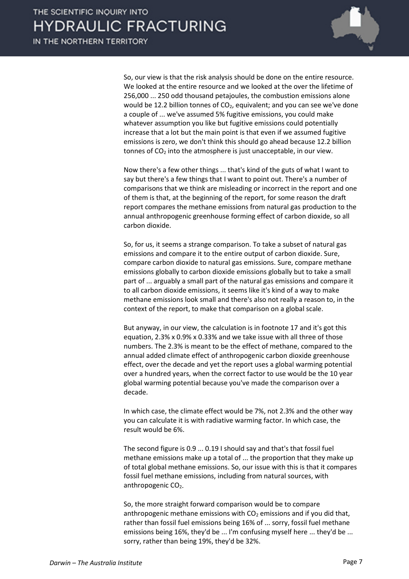

So, our view is that the risk analysis should be done on the entire resource. We looked at the entire resource and we looked at the over the lifetime of 256,000 ... 250 odd thousand petajoules, the combustion emissions alone would be 12.2 billion tonnes of CO<sub>2</sub>, equivalent; and you can see we've done a couple of ... we've assumed 5% fugitive emissions, you could make whatever assumption you like but fugitive emissions could potentially increase that a lot but the main point is that even if we assumed fugitive emissions is zero, we don't think this should go ahead because 12.2 billion tonnes of  $CO<sub>2</sub>$  into the atmosphere is just unacceptable, in our view.

Now there's a few other things ... that's kind of the guts of what I want to say but there's a few things that I want to point out. There's a number of comparisons that we think are misleading or incorrect in the report and one of them is that, at the beginning of the report, for some reason the draft report compares the methane emissions from natural gas production to the annual anthropogenic greenhouse forming effect of carbon dioxide, so all carbon dioxide.

So, for us, it seems a strange comparison. To take a subset of natural gas emissions and compare it to the entire output of carbon dioxide. Sure, compare carbon dioxide to natural gas emissions. Sure, compare methane emissions globally to carbon dioxide emissions globally but to take a small part of ... arguably a small part of the natural gas emissions and compare it to all carbon dioxide emissions, it seems like it's kind of a way to make methane emissions look small and there's also not really a reason to, in the context of the report, to make that comparison on a global scale.

But anyway, in our view, the calculation is in footnote 17 and it's got this equation, 2.3% x 0.9% x 0.33% and we take issue with all three of those numbers. The 2.3% is meant to be the effect of methane, compared to the annual added climate effect of anthropogenic carbon dioxide greenhouse effect, over the decade and yet the report uses a global warming potential over a hundred years, when the correct factor to use would be the 10 year global warming potential because you've made the comparison over a decade.

In which case, the climate effect would be 7%, not 2.3% and the other way you can calculate it is with radiative warming factor. In which case, the result would be 6%.

The second figure is 0.9 ... 0.19 I should say and that's that fossil fuel methane emissions make up a total of ... the proportion that they make up of total global methane emissions. So, our issue with this is that it compares fossil fuel methane emissions, including from natural sources, with anthropogenic CO<sub>2</sub>.

So, the more straight forward comparison would be to compare anthropogenic methane emissions with  $CO<sub>2</sub>$  emissions and if you did that, rather than fossil fuel emissions being 16% of ... sorry, fossil fuel methane emissions being 16%, they'd be ... I'm confusing myself here ... they'd be ... sorry, rather than being 19%, they'd be 32%.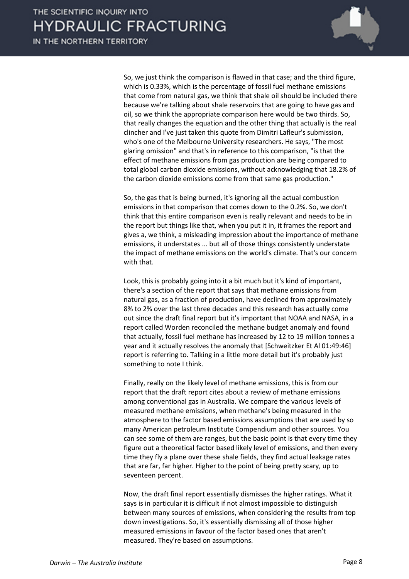

So, we just think the comparison is flawed in that case; and the third figure, which is 0.33%, which is the percentage of fossil fuel methane emissions that come from natural gas, we think that shale oil should be included there because we're talking about shale reservoirs that are going to have gas and oil, so we think the appropriate comparison here would be two thirds. So, that really changes the equation and the other thing that actually is the real clincher and I've just taken this quote from Dimitri Lafleur's submission, who's one of the Melbourne University researchers. He says, "The most glaring omission" and that's in reference to this comparison, "is that the effect of methane emissions from gas production are being compared to total global carbon dioxide emissions, without acknowledging that 18.2% of the carbon dioxide emissions come from that same gas production."

So, the gas that is being burned, it's ignoring all the actual combustion emissions in that comparison that comes down to the 0.2%. So, we don't think that this entire comparison even is really relevant and needs to be in the report but things like that, when you put it in, it frames the report and gives a, we think, a misleading impression about the importance of methane emissions, it understates ... but all of those things consistently understate the impact of methane emissions on the world's climate. That's our concern with that.

Look, this is probably going into it a bit much but it's kind of important, there's a section of the report that says that methane emissions from natural gas, as a fraction of production, have declined from approximately 8% to 2% over the last three decades and this research has actually come out since the draft final report but it's important that NOAA and NASA, in a report called Worden reconciled the methane budget anomaly and found that actually, fossil fuel methane has increased by 12 to 19 million tonnes a year and it actually resolves the anomaly that [Schweitzker Et Al 01:49:46] report is referring to. Talking in a little more detail but it's probably just something to note I think.

Finally, really on the likely level of methane emissions, this is from our report that the draft report cites about a review of methane emissions among conventional gas in Australia. We compare the various levels of measured methane emissions, when methane's being measured in the atmosphere to the factor based emissions assumptions that are used by so many American petroleum Institute Compendium and other sources. You can see some of them are ranges, but the basic point is that every time they figure out a theoretical factor based likely level of emissions, and then every time they fly a plane over these shale fields, they find actual leakage rates that are far, far higher. Higher to the point of being pretty scary, up to seventeen percent.

Now, the draft final report essentially dismisses the higher ratings. What it says is in particular it is difficult if not almost impossible to distinguish between many sources of emissions, when considering the results from top down investigations. So, it's essentially dismissing all of those higher measured emissions in favour of the factor based ones that aren't measured. They're based on assumptions.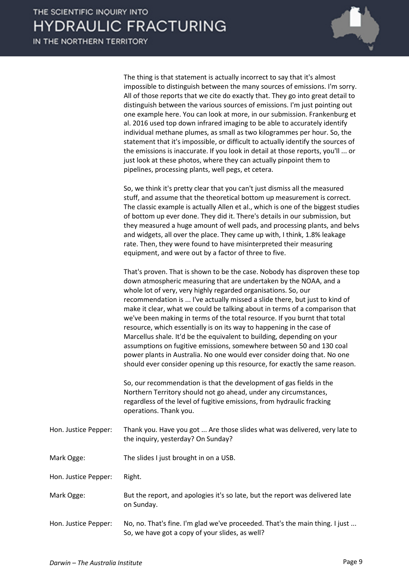

The thing is that statement is actually incorrect to say that it's almost impossible to distinguish between the many sources of emissions. I'm sorry. All of those reports that we cite do exactly that. They go into great detail to distinguish between the various sources of emissions. I'm just pointing out one example here. You can look at more, in our submission. Frankenburg et al. 2016 used top down infrared imaging to be able to accurately identify individual methane plumes, as small as two kilogrammes per hour. So, the statement that it's impossible, or difficult to actually identify the sources of the emissions is inaccurate. If you look in detail at those reports, you'll ... or just look at these photos, where they can actually pinpoint them to pipelines, processing plants, well pegs, et cetera.

So, we think it's pretty clear that you can't just dismiss all the measured stuff, and assume that the theoretical bottom up measurement is correct. The classic example is actually Allen et al., which is one of the biggest studies of bottom up ever done. They did it. There's details in our submission, but they measured a huge amount of well pads, and processing plants, and belvs and widgets, all over the place. They came up with, I think, 1.8% leakage rate. Then, they were found to have misinterpreted their measuring equipment, and were out by a factor of three to five.

That's proven. That is shown to be the case. Nobody has disproven these top down atmospheric measuring that are undertaken by the NOAA, and a whole lot of very, very highly regarded organisations. So, our recommendation is ... I've actually missed a slide there, but just to kind of make it clear, what we could be talking about in terms of a comparison that we've been making in terms of the total resource. If you burnt that total resource, which essentially is on its way to happening in the case of Marcellus shale. It'd be the equivalent to building, depending on your assumptions on fugitive emissions, somewhere between 50 and 130 coal power plants in Australia. No one would ever consider doing that. No one should ever consider opening up this resource, for exactly the same reason.

So, our recommendation is that the development of gas fields in the Northern Territory should not go ahead, under any circumstances, regardless of the level of fugitive emissions, from hydraulic fracking operations. Thank you.

- Hon. Justice Pepper: Thank you. Have you got ... Are those slides what was delivered, very late to the inquiry, yesterday? On Sunday?
- Mark Ogge: The slides I just brought in on a USB.

Hon. Justice Pepper: Right.

- Mark Ogge: But the report, and apologies it's so late, but the report was delivered late on Sunday.
- Hon. Justice Pepper: No, no. That's fine. I'm glad we've proceeded. That's the main thing. I just ... So, we have got a copy of your slides, as well?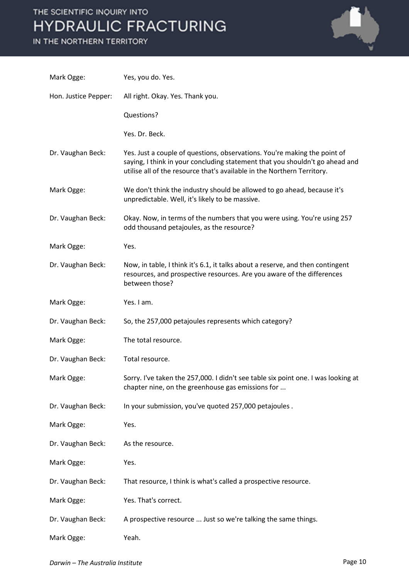

| Mark Ogge:           | Yes, you do. Yes.                                                                                                                                                                                                                    |
|----------------------|--------------------------------------------------------------------------------------------------------------------------------------------------------------------------------------------------------------------------------------|
| Hon. Justice Pepper: | All right. Okay. Yes. Thank you.                                                                                                                                                                                                     |
|                      | Questions?                                                                                                                                                                                                                           |
|                      | Yes. Dr. Beck.                                                                                                                                                                                                                       |
| Dr. Vaughan Beck:    | Yes. Just a couple of questions, observations. You're making the point of<br>saying, I think in your concluding statement that you shouldn't go ahead and<br>utilise all of the resource that's available in the Northern Territory. |
| Mark Ogge:           | We don't think the industry should be allowed to go ahead, because it's<br>unpredictable. Well, it's likely to be massive.                                                                                                           |
| Dr. Vaughan Beck:    | Okay. Now, in terms of the numbers that you were using. You're using 257<br>odd thousand petajoules, as the resource?                                                                                                                |
| Mark Ogge:           | Yes.                                                                                                                                                                                                                                 |
| Dr. Vaughan Beck:    | Now, in table, I think it's 6.1, it talks about a reserve, and then contingent<br>resources, and prospective resources. Are you aware of the differences<br>between those?                                                           |
| Mark Ogge:           | Yes. I am.                                                                                                                                                                                                                           |
| Dr. Vaughan Beck:    | So, the 257,000 petajoules represents which category?                                                                                                                                                                                |
| Mark Ogge:           | The total resource.                                                                                                                                                                                                                  |
| Dr. Vaughan Beck:    | Total resource.                                                                                                                                                                                                                      |
| Mark Ogge:           | Sorry. I've taken the 257,000. I didn't see table six point one. I was looking at<br>chapter nine, on the greenhouse gas emissions for                                                                                               |
| Dr. Vaughan Beck:    | In your submission, you've quoted 257,000 petajoules.                                                                                                                                                                                |
| Mark Ogge:           | Yes.                                                                                                                                                                                                                                 |
| Dr. Vaughan Beck:    | As the resource.                                                                                                                                                                                                                     |
| Mark Ogge:           | Yes.                                                                                                                                                                                                                                 |
| Dr. Vaughan Beck:    | That resource, I think is what's called a prospective resource.                                                                                                                                                                      |
| Mark Ogge:           | Yes. That's correct.                                                                                                                                                                                                                 |
| Dr. Vaughan Beck:    | A prospective resource  Just so we're talking the same things.                                                                                                                                                                       |
| Mark Ogge:           | Yeah.                                                                                                                                                                                                                                |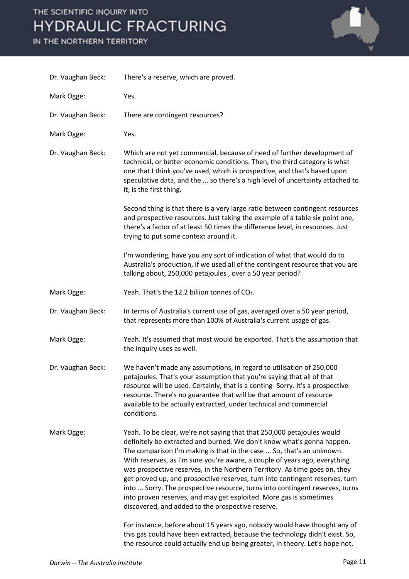

| Dr. Vaughan Beck: | There's a reserve, which are proved.                                                                                                                                                                                                                                                                                                                                                                                                                                                                                                                                                                                                                                                                                                                                                                                                                                                                                          |
|-------------------|-------------------------------------------------------------------------------------------------------------------------------------------------------------------------------------------------------------------------------------------------------------------------------------------------------------------------------------------------------------------------------------------------------------------------------------------------------------------------------------------------------------------------------------------------------------------------------------------------------------------------------------------------------------------------------------------------------------------------------------------------------------------------------------------------------------------------------------------------------------------------------------------------------------------------------|
| Mark Ogge:        | Yes.                                                                                                                                                                                                                                                                                                                                                                                                                                                                                                                                                                                                                                                                                                                                                                                                                                                                                                                          |
| Dr. Vaughan Beck: | There are contingent resources?                                                                                                                                                                                                                                                                                                                                                                                                                                                                                                                                                                                                                                                                                                                                                                                                                                                                                               |
| Mark Ogge:        | Yes.                                                                                                                                                                                                                                                                                                                                                                                                                                                                                                                                                                                                                                                                                                                                                                                                                                                                                                                          |
| Dr. Vaughan Beck: | Which are not yet commercial, because of need of further development of<br>technical, or better economic conditions. Then, the third category is what<br>one that I think you've used, which is prospective, and that's based upon<br>speculative data, and the  so there's a high level of uncertainty attached to<br>it, is the first thing.                                                                                                                                                                                                                                                                                                                                                                                                                                                                                                                                                                                |
|                   | Second thing is that there is a very large ratio between contingent resources<br>and prospective resources. Just taking the example of a table six point one,<br>there's a factor of at least 50 times the difference level, in resources. Just<br>trying to put some context around it.                                                                                                                                                                                                                                                                                                                                                                                                                                                                                                                                                                                                                                      |
|                   | I'm wondering, have you any sort of indication of what that would do to<br>Australia's production, if we used all of the contingent resource that you are<br>talking about, 250,000 petajoules, over a 50 year period?                                                                                                                                                                                                                                                                                                                                                                                                                                                                                                                                                                                                                                                                                                        |
| Mark Ogge:        | Yeah. That's the 12.2 billion tonnes of CO2.                                                                                                                                                                                                                                                                                                                                                                                                                                                                                                                                                                                                                                                                                                                                                                                                                                                                                  |
| Dr. Vaughan Beck: | In terms of Australia's current use of gas, averaged over a 50 year period,<br>that represents more than 100% of Australia's current usage of gas.                                                                                                                                                                                                                                                                                                                                                                                                                                                                                                                                                                                                                                                                                                                                                                            |
| Mark Ogge:        | Yeah. It's assumed that most would be exported. That's the assumption that<br>the inquiry uses as well.                                                                                                                                                                                                                                                                                                                                                                                                                                                                                                                                                                                                                                                                                                                                                                                                                       |
| Dr. Vaughan Beck: | We haven't made any assumptions, in regard to utilisation of 250,000<br>petajoules. That's your assumption that you're saying that all of that<br>resource will be used. Certainly, that is a conting-Sorry. It's a prospective<br>resource. There's no guarantee that will be that amount of resource<br>available to be actually extracted, under technical and commercial<br>conditions.                                                                                                                                                                                                                                                                                                                                                                                                                                                                                                                                   |
| Mark Ogge:        | Yeah. To be clear, we're not saying that that 250,000 petajoules would<br>definitely be extracted and burned. We don't know what's gonna happen.<br>The comparison I'm making is that in the case  So, that's an unknown.<br>With reserves, as I'm sure you're aware, a couple of years ago, everything<br>was prospective reserves, in the Northern Territory. As time goes on, they<br>get proved up, and prospective reserves, turn into contingent reserves, turn<br>into  Sorry. The prospective resource, turns into contingent reserves, turns<br>into proven reserves, and may get exploited. More gas is sometimes<br>discovered, and added to the prospective reserve.<br>For instance, before about 15 years ago, nobody would have thought any of<br>this gas could have been extracted, because the technology didn't exist. So,<br>the resource could actually end up being greater, in theory. Let's hope not, |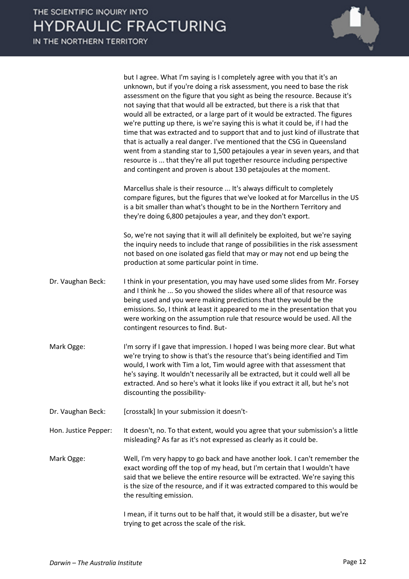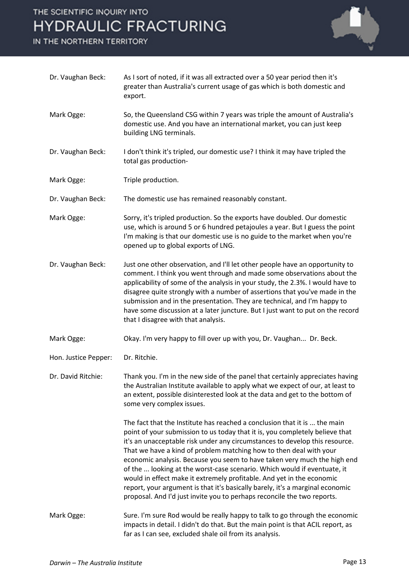

| Dr. Vaughan Beck:    | As I sort of noted, if it was all extracted over a 50 year period then it's<br>greater than Australia's current usage of gas which is both domestic and<br>export.                                                                                                                                                                                                                                                                                                                                                                                                                                                                                                                                          |
|----------------------|-------------------------------------------------------------------------------------------------------------------------------------------------------------------------------------------------------------------------------------------------------------------------------------------------------------------------------------------------------------------------------------------------------------------------------------------------------------------------------------------------------------------------------------------------------------------------------------------------------------------------------------------------------------------------------------------------------------|
| Mark Ogge:           | So, the Queensland CSG within 7 years was triple the amount of Australia's<br>domestic use. And you have an international market, you can just keep<br>building LNG terminals.                                                                                                                                                                                                                                                                                                                                                                                                                                                                                                                              |
| Dr. Vaughan Beck:    | I don't think it's tripled, our domestic use? I think it may have tripled the<br>total gas production-                                                                                                                                                                                                                                                                                                                                                                                                                                                                                                                                                                                                      |
| Mark Ogge:           | Triple production.                                                                                                                                                                                                                                                                                                                                                                                                                                                                                                                                                                                                                                                                                          |
| Dr. Vaughan Beck:    | The domestic use has remained reasonably constant.                                                                                                                                                                                                                                                                                                                                                                                                                                                                                                                                                                                                                                                          |
| Mark Ogge:           | Sorry, it's tripled production. So the exports have doubled. Our domestic<br>use, which is around 5 or 6 hundred petajoules a year. But I guess the point<br>I'm making is that our domestic use is no guide to the market when you're<br>opened up to global exports of LNG.                                                                                                                                                                                                                                                                                                                                                                                                                               |
| Dr. Vaughan Beck:    | Just one other observation, and I'll let other people have an opportunity to<br>comment. I think you went through and made some observations about the<br>applicability of some of the analysis in your study, the 2.3%. I would have to<br>disagree quite strongly with a number of assertions that you've made in the<br>submission and in the presentation. They are technical, and I'm happy to<br>have some discussion at a later juncture. But I just want to put on the record<br>that I disagree with that analysis.                                                                                                                                                                                |
| Mark Ogge:           | Okay. I'm very happy to fill over up with you, Dr. Vaughan Dr. Beck.                                                                                                                                                                                                                                                                                                                                                                                                                                                                                                                                                                                                                                        |
| Hon. Justice Pepper: | Dr. Ritchie.                                                                                                                                                                                                                                                                                                                                                                                                                                                                                                                                                                                                                                                                                                |
| Dr. David Ritchie:   | Thank you. I'm in the new side of the panel that certainly appreciates having<br>the Australian Institute available to apply what we expect of our, at least to<br>an extent, possible disinterested look at the data and get to the bottom of<br>some very complex issues.                                                                                                                                                                                                                                                                                                                                                                                                                                 |
|                      | The fact that the Institute has reached a conclusion that it is  the main<br>point of your submission to us today that it is, you completely believe that<br>it's an unacceptable risk under any circumstances to develop this resource.<br>That we have a kind of problem matching how to then deal with your<br>economic analysis. Because you seem to have taken very much the high end<br>of the  looking at the worst-case scenario. Which would if eventuate, it<br>would in effect make it extremely profitable. And yet in the economic<br>report, your argument is that it's basically barely, it's a marginal economic<br>proposal. And I'd just invite you to perhaps reconcile the two reports. |
| Mark Ogge:           | Sure. I'm sure Rod would be really happy to talk to go through the economic<br>impacts in detail. I didn't do that. But the main point is that ACIL report, as<br>far as I can see, excluded shale oil from its analysis.                                                                                                                                                                                                                                                                                                                                                                                                                                                                                   |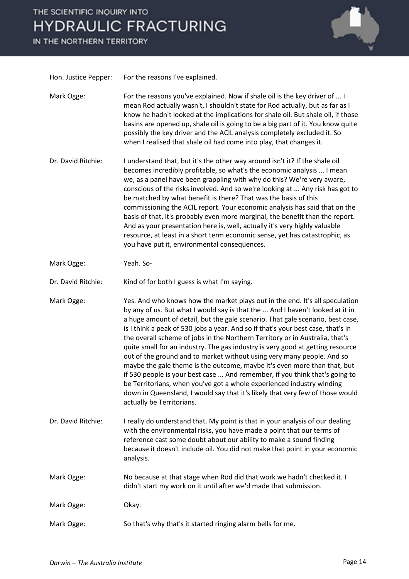

| Hon. Justice Pepper: | For the reasons I've explained.                                                                                                                                                                                                                                                                                                                                                                                                                                                                                                                                                                                                                                                                                                                                                                                                                                                                                                   |
|----------------------|-----------------------------------------------------------------------------------------------------------------------------------------------------------------------------------------------------------------------------------------------------------------------------------------------------------------------------------------------------------------------------------------------------------------------------------------------------------------------------------------------------------------------------------------------------------------------------------------------------------------------------------------------------------------------------------------------------------------------------------------------------------------------------------------------------------------------------------------------------------------------------------------------------------------------------------|
| Mark Ogge:           | For the reasons you've explained. Now if shale oil is the key driver of  I<br>mean Rod actually wasn't, I shouldn't state for Rod actually, but as far as I<br>know he hadn't looked at the implications for shale oil. But shale oil, if those<br>basins are opened up, shale oil is going to be a big part of it. You know quite<br>possibly the key driver and the ACIL analysis completely excluded it. So<br>when I realised that shale oil had come into play, that changes it.                                                                                                                                                                                                                                                                                                                                                                                                                                             |
| Dr. David Ritchie:   | I understand that, but it's the other way around isn't it? If the shale oil<br>becomes incredibly profitable, so what's the economic analysis  I mean<br>we, as a panel have been grappling with why do this? We're very aware,<br>conscious of the risks involved. And so we're looking at  Any risk has got to<br>be matched by what benefit is there? That was the basis of this<br>commissioning the ACIL report. Your economic analysis has said that on the<br>basis of that, it's probably even more marginal, the benefit than the report.<br>And as your presentation here is, well, actually it's very highly valuable<br>resource, at least in a short term economic sense, yet has catastrophic, as<br>you have put it, environmental consequences.                                                                                                                                                                   |
| Mark Ogge:           | Yeah. So-                                                                                                                                                                                                                                                                                                                                                                                                                                                                                                                                                                                                                                                                                                                                                                                                                                                                                                                         |
| Dr. David Ritchie:   | Kind of for both I guess is what I'm saying.                                                                                                                                                                                                                                                                                                                                                                                                                                                                                                                                                                                                                                                                                                                                                                                                                                                                                      |
| Mark Ogge:           | Yes. And who knows how the market plays out in the end. It's all speculation<br>by any of us. But what I would say is that the  And I haven't looked at it in<br>a huge amount of detail, but the gale scenario. That gale scenario, best case,<br>is I think a peak of 530 jobs a year. And so if that's your best case, that's in<br>the overall scheme of jobs in the Northern Territory or in Australia, that's<br>quite small for an industry. The gas industry is very good at getting resource<br>out of the ground and to market without using very many people. And so<br>maybe the gale theme is the outcome, maybe it's even more than that, but<br>if 530 people is your best case  And remember, if you think that's going to<br>be Territorians, when you've got a whole experienced industry winding<br>down in Queensland, I would say that it's likely that very few of those would<br>actually be Territorians. |
| Dr. David Ritchie:   | I really do understand that. My point is that in your analysis of our dealing<br>with the environmental risks, you have made a point that our terms of<br>reference cast some doubt about our ability to make a sound finding<br>because it doesn't include oil. You did not make that point in your economic<br>analysis.                                                                                                                                                                                                                                                                                                                                                                                                                                                                                                                                                                                                        |
| Mark Ogge:           | No because at that stage when Rod did that work we hadn't checked it. I<br>didn't start my work on it until after we'd made that submission.                                                                                                                                                                                                                                                                                                                                                                                                                                                                                                                                                                                                                                                                                                                                                                                      |
| Mark Ogge:           | Okay.                                                                                                                                                                                                                                                                                                                                                                                                                                                                                                                                                                                                                                                                                                                                                                                                                                                                                                                             |
| Mark Ogge:           | So that's why that's it started ringing alarm bells for me.                                                                                                                                                                                                                                                                                                                                                                                                                                                                                                                                                                                                                                                                                                                                                                                                                                                                       |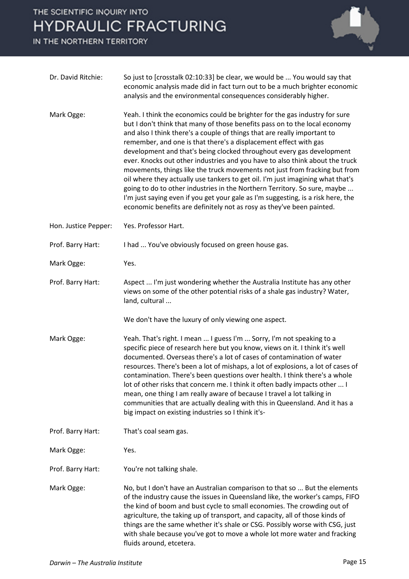

| Dr. David Ritchie:   | So just to [crosstalk 02:10:33] be clear, we would be  You would say that<br>economic analysis made did in fact turn out to be a much brighter economic<br>analysis and the environmental consequences considerably higher.                                                                                                                                                                                                                                                                                                                                                                                                                                                                                                                                                                                                                                                  |
|----------------------|------------------------------------------------------------------------------------------------------------------------------------------------------------------------------------------------------------------------------------------------------------------------------------------------------------------------------------------------------------------------------------------------------------------------------------------------------------------------------------------------------------------------------------------------------------------------------------------------------------------------------------------------------------------------------------------------------------------------------------------------------------------------------------------------------------------------------------------------------------------------------|
| Mark Ogge:           | Yeah. I think the economics could be brighter for the gas industry for sure<br>but I don't think that many of those benefits pass on to the local economy<br>and also I think there's a couple of things that are really important to<br>remember, and one is that there's a displacement effect with gas<br>development and that's being clocked throughout every gas development<br>ever. Knocks out other industries and you have to also think about the truck<br>movements, things like the truck movements not just from fracking but from<br>oil where they actually use tankers to get oil. I'm just imagining what that's<br>going to do to other industries in the Northern Territory. So sure, maybe<br>I'm just saying even if you get your gale as I'm suggesting, is a risk here, the<br>economic benefits are definitely not as rosy as they've been painted. |
| Hon. Justice Pepper: | Yes. Professor Hart.                                                                                                                                                                                                                                                                                                                                                                                                                                                                                                                                                                                                                                                                                                                                                                                                                                                         |
| Prof. Barry Hart:    | I had  You've obviously focused on green house gas.                                                                                                                                                                                                                                                                                                                                                                                                                                                                                                                                                                                                                                                                                                                                                                                                                          |
| Mark Ogge:           | Yes.                                                                                                                                                                                                                                                                                                                                                                                                                                                                                                                                                                                                                                                                                                                                                                                                                                                                         |
| Prof. Barry Hart:    | Aspect  I'm just wondering whether the Australia Institute has any other<br>views on some of the other potential risks of a shale gas industry? Water,<br>land, cultural                                                                                                                                                                                                                                                                                                                                                                                                                                                                                                                                                                                                                                                                                                     |
|                      | We don't have the luxury of only viewing one aspect.                                                                                                                                                                                                                                                                                                                                                                                                                                                                                                                                                                                                                                                                                                                                                                                                                         |
| Mark Ogge:           | Yeah. That's right. I mean  I guess I'm  Sorry, I'm not speaking to a<br>specific piece of research here but you know, views on it. I think it's well<br>documented. Overseas there's a lot of cases of contamination of water<br>resources. There's been a lot of mishaps, a lot of explosions, a lot of cases of<br>contamination. There's been questions over health. I think there's a whole<br>lot of other risks that concern me. I think it often badly impacts other  I<br>mean, one thing I am really aware of because I travel a lot talking in<br>communities that are actually dealing with this in Queensland. And it has a<br>big impact on existing industries so I think it's-                                                                                                                                                                               |
| Prof. Barry Hart:    | That's coal seam gas.                                                                                                                                                                                                                                                                                                                                                                                                                                                                                                                                                                                                                                                                                                                                                                                                                                                        |
| Mark Ogge:           | Yes.                                                                                                                                                                                                                                                                                                                                                                                                                                                                                                                                                                                                                                                                                                                                                                                                                                                                         |
| Prof. Barry Hart:    | You're not talking shale.                                                                                                                                                                                                                                                                                                                                                                                                                                                                                                                                                                                                                                                                                                                                                                                                                                                    |
| Mark Ogge:           | No, but I don't have an Australian comparison to that so  But the elements<br>of the industry cause the issues in Queensland like, the worker's camps, FIFO<br>the kind of boom and bust cycle to small economies. The crowding out of<br>agriculture, the taking up of transport, and capacity, all of those kinds of<br>things are the same whether it's shale or CSG. Possibly worse with CSG, just<br>with shale because you've got to move a whole lot more water and fracking<br>fluids around, etcetera.                                                                                                                                                                                                                                                                                                                                                              |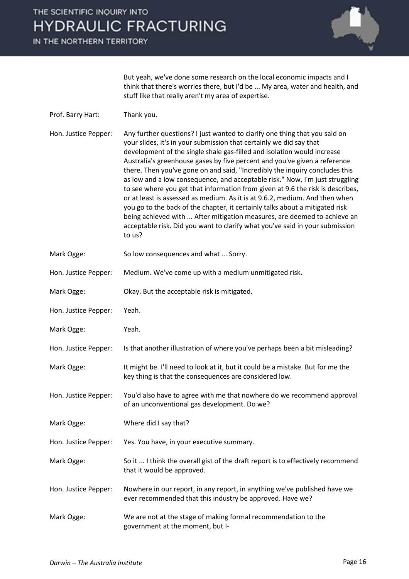

But yeah, we've done some research on the local economic impacts and I think that there's worries there, but I'd be ... My area, water and health, and stuff like that really aren't my area of expertise.

- Prof. Barry Hart: Thank you.
- Hon. Justice Pepper: Any further questions? I just wanted to clarify one thing that you said on your slides, it's in your submission that certainly we did say that development of the single shale gas-filled and isolation would increase Australia's greenhouse gases by five percent and you've given a reference there. Then you've gone on and said, "Incredibly the inquiry concludes this as low and a low consequence, and acceptable risk." Now, I'm just struggling to see where you get that information from given at 9.6 the risk is describes, or at least is assessed as medium. As it is at 9.6.2, medium. And then when you go to the back of the chapter, it certainly talks about a mitigated risk being achieved with ... After mitigation measures, are deemed to achieve an acceptable risk. Did you want to clarify what you've said in your submission to us?
- Mark Ogge: So low consequences and what ... Sorry.
- Hon. Justice Pepper: Medium. We've come up with a medium unmitigated risk.
- Mark Ogge: Okay. But the acceptable risk is mitigated.
- Hon. Justice Pepper: Yeah.
- Mark Ogge: Yeah.

Hon. Justice Pepper: Is that another illustration of where you've perhaps been a bit misleading?

- Mark Ogge: It might be. I'll need to look at it, but it could be a mistake. But for me the key thing is that the consequences are considered low.
- Hon. Justice Pepper: You'd also have to agree with me that nowhere do we recommend approval of an unconventional gas development. Do we?
- Mark Ogge: Where did I say that?

Hon. Justice Pepper: Yes. You have, in your executive summary.

- Mark Ogge: So it ... I think the overall gist of the draft report is to effectively recommend that it would be approved.
- Hon. Justice Pepper: Nowhere in our report, in any report, in anything we've published have we ever recommended that this industry be approved. Have we?
- Mark Ogge: We are not at the stage of making formal recommendation to the government at the moment, but I-